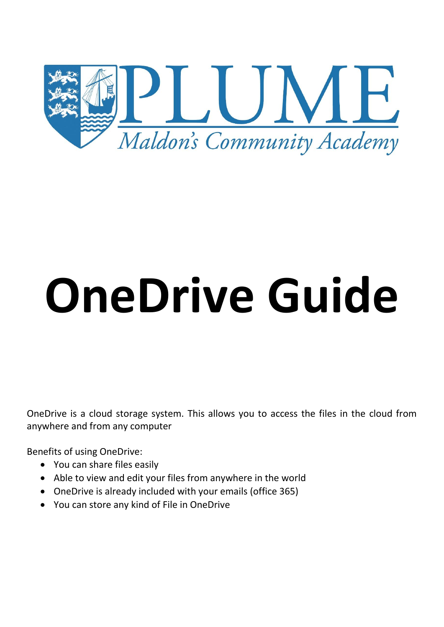

# **OneDrive Guide**

OneDrive is a cloud storage system. This allows you to access the files in the cloud from anywhere and from any computer

Benefits of using OneDrive:

- You can share files easily
- Able to view and edit your files from anywhere in the world
- OneDrive is already included with your emails (office 365)
- You can store any kind of File in OneDrive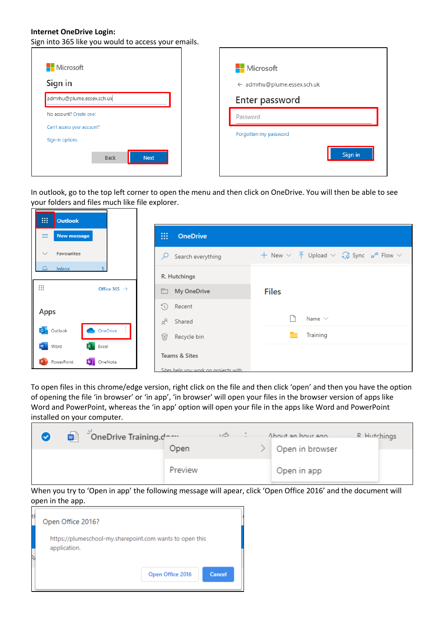#### **Internet OneDrive Login:**

Sign into 365 like you would to access your emails.

| Microsoft                                     | Microsoft                   |
|-----------------------------------------------|-----------------------------|
| Sign in                                       | ← admrhu@plume.essex.sch.uk |
| admrhu@plume.essex.sch.uk                     | Enter password              |
| No account? Create one!                       | Password                    |
| Can't access your account?<br>Sign-in options | Forgotten my password       |
| <b>Next</b><br>Back                           | Sign in                     |

In outlook, go to the top left corner to open the menu and then click on OneDrive. You will then be able to see your folders and files much like file explorer.

| 88<br><b>Outlook</b>             |                                                       |                                                                                                                                |
|----------------------------------|-------------------------------------------------------|--------------------------------------------------------------------------------------------------------------------------------|
| $\equiv$<br><b>New message</b>   | ₩<br><b>OneDrive</b>                                  |                                                                                                                                |
| Favourites<br>$\checkmark$       | Search everything<br>Q                                | + New $\vee$ $\overline{\uparrow}$ Upload $\vee$ $\overline{\smash[b]{\mathsf{c}}\ }$ Sync $\smash[b]{\mathsf{c}}$ Flow $\vee$ |
| <b>Inbox</b>                     | R. Hutchings                                          |                                                                                                                                |
| ∷<br>Office 365 $\rightarrow$    | My OneDrive<br>ħ                                      | <b>Files</b>                                                                                                                   |
| Apps                             | $\Omega$<br>Recent                                    |                                                                                                                                |
|                                  | gβ<br>Shared                                          | Name $\vee$                                                                                                                    |
| O Outlook<br>OneDrive :          | 딥<br>Recycle bin                                      | Training                                                                                                                       |
| W Word<br><b>X</b> Excel         |                                                       |                                                                                                                                |
| N OneNote<br><b>P</b> PowerPoint |                                                       |                                                                                                                                |
|                                  | Teams & Sites<br>Sites help you work on projects with |                                                                                                                                |

To open files in this chrome/edge version, right click on the file and then click 'open' and then you have the option of opening the file 'in browser' or 'in app', 'in browser' will open your files in the browser version of apps like Word and PowerPoint, whereas the 'in app' option will open your file in the apps like Word and PowerPoint installed on your computer.

| ळो | OneDrive Training.dom | Open    | ょう | About an hour ano<br>Open in browser | R Hutchings |
|----|-----------------------|---------|----|--------------------------------------|-------------|
|    |                       | Preview |    | Open in app                          |             |

When you try to 'Open in app' the following message will apear, click 'Open Office 2016' and the document will open in the app.

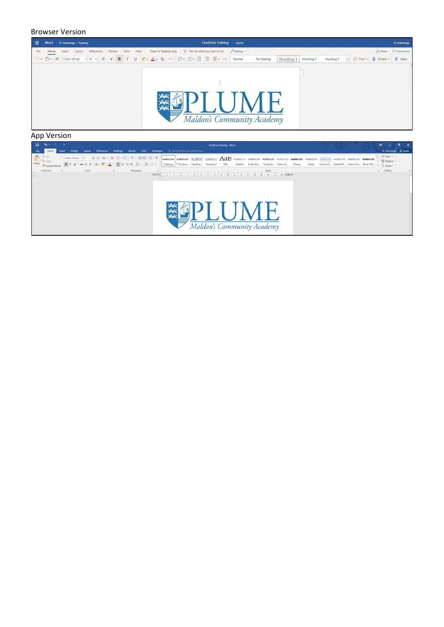

#### App Version

|  |           |                                                                                                                                                                                                                                                                                                                                                                                                                                            |               |            |          |        |      |           |                                                                                                                                                                                                                                                                                                                                                                                                                                      |   |                               | <b>OneDrive Training - Word</b>          |          |        |                            |                              |  |  | 固                                                                                                                                                                                                                                                     | $\sigma$              |
|--|-----------|--------------------------------------------------------------------------------------------------------------------------------------------------------------------------------------------------------------------------------------------------------------------------------------------------------------------------------------------------------------------------------------------------------------------------------------------|---------------|------------|----------|--------|------|-----------|--------------------------------------------------------------------------------------------------------------------------------------------------------------------------------------------------------------------------------------------------------------------------------------------------------------------------------------------------------------------------------------------------------------------------------------|---|-------------------------------|------------------------------------------|----------|--------|----------------------------|------------------------------|--|--|-------------------------------------------------------------------------------------------------------------------------------------------------------------------------------------------------------------------------------------------------------|-----------------------|
|  | Insert    | Design                                                                                                                                                                                                                                                                                                                                                                                                                                     | <b>Lavout</b> | References | Mailings | Review | View | Developer |                                                                                                                                                                                                                                                                                                                                                                                                                                      |   | Q Tell me what you want to do |                                          |          |        |                            |                              |  |  |                                                                                                                                                                                                                                                       | R. Hutchings Q. Share |
|  |           |                                                                                                                                                                                                                                                                                                                                                                                                                                            | Font          |            | 反        |        |      |           |                                                                                                                                                                                                                                                                                                                                                                                                                                      |   |                               | Title                                    | Subtitle | Styles | Strong                     | Quote                        |  |  | $\rho$ Find $\sim$<br>ab <sub>c</sub> Replace<br>☆ Select ▼<br>Editing                                                                                                                                                                                |                       |
|  |           |                                                                                                                                                                                                                                                                                                                                                                                                                                            |               |            |          |        |      |           |                                                                                                                                                                                                                                                                                                                                                                                                                                      |   |                               |                                          |          |        |                            |                              |  |  |                                                                                                                                                                                                                                                       |                       |
|  |           |                                                                                                                                                                                                                                                                                                                                                                                                                                            |               |            |          |        |      |           |                                                                                                                                                                                                                                                                                                                                                                                                                                      |   |                               |                                          |          |        |                            |                              |  |  |                                                                                                                                                                                                                                                       |                       |
|  |           |                                                                                                                                                                                                                                                                                                                                                                                                                                            |               |            |          |        |      |           |                                                                                                                                                                                                                                                                                                                                                                                                                                      |   |                               |                                          |          |        |                            |                              |  |  |                                                                                                                                                                                                                                                       |                       |
|  |           |                                                                                                                                                                                                                                                                                                                                                                                                                                            |               |            |          |        |      |           |                                                                                                                                                                                                                                                                                                                                                                                                                                      | 釋 |                               |                                          |          |        |                            |                              |  |  |                                                                                                                                                                                                                                                       |                       |
|  | Clipboard | $\begin{tabular}{ c c } \hline \multicolumn{1}{ c }{\multicolumn{2}{ c }{\multicolumn{2}{ c }{\multicolumn{2}{ c }{\multicolumn{2}{ c }{\multicolumn{2}{ c }{\multicolumn{2}{ c }{\multicolumn{2}{ c }{\multicolumn{2}{ c }{\multicolumn{2}{ c }{\multicolumn{2}{ c }{\multicolumn{2}{ c }{\multicolumn{2}{ c }{\multicolumn{2}{ c }{\multicolumn{2}{ c }{\multicolumn{2}{ c }{\multicolumn{2}{ c }{\multicolumn{2}{ c }{\multicolumn{2}{$ |               |            |          |        |      | Paragraph | Calibri (Body) ・ 11 ・ A^ A^ Aa ・   ◆   三 ・ 三 ・ 三 ・ 三 ・ 三 三   2    「<br>$\boxed{\mathsf{B}} \quad I \quad \underline{\mathsf{U}} \; \; \star \; \text{ size } \; \mathsf{x}_1 \; \; \mathsf{x}^1 \; \boxed{\text{A}} \; \star \; \underline{\mathsf{W}} \; \star \; \underline{\mathsf{A}} \; \star \; \boxed{\equiv} \equiv \equiv \equiv \; \boxed{\mathsf{I}} \; \star \; \boxed{\text{A}} \; \star \; \boxdot \; \star \; \cdots$ |   |                               | T Normal   T No Spac Heading 1 Heading 2 |          |        | Maldon's Community Academy | Subtle Em Emphasis Intense E |  |  | $\overline{ABbCCD}$ AaBbCcDx AaBbCc AaBbCcl $A$ aBbCcl AaBbCcD AaBbCcDx AaBbCcDx AaBbCcDx AaBbCcDx $\overline{ABbCCD}$ AABBCCDx AABBCCDx AaBbCcDx AaBbCcDx AaBbCcDx AaBbCcDx AaBbCcDx AaBbCcDx AaBbCcDx<br>Intense Q Subtle Ref Intense Re Book Title |                       |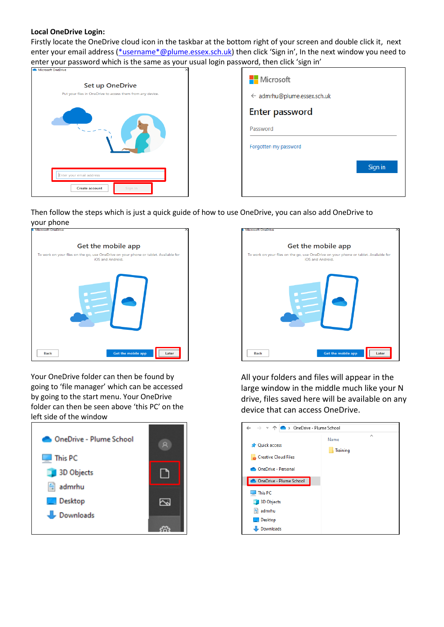# **Local OneDrive Login:**

Firstly locate the OneDrive cloud icon in the taskbar at the bottom right of your screen and double click it, next enter your email address [\(\\*username\\*@plume.essex.sch.uk](mailto:*username*@plume.essex.sch.uk)) then click 'Sign in', In the next window you need to enter your password which is the same as your usual login password, then click 'sign in'



| Microsoft                   |         |
|-----------------------------|---------|
| ← admrhu@plume.essex.sch.uk |         |
| <b>Enter password</b>       |         |
| Password                    |         |
| Forgotten my password       |         |
|                             | Sign in |
|                             |         |

Then follow the steps which is just a quick guide of how to use OneDrive, you can also add OneDrive to



Your OneDrive folder can then be found by going to 'file manager' which can be accessed by going to the start menu. Your OneDrive folder can then be seen above 'this PC' on the left side of the window





All your folders and files will appear in the large window in the middle much like your N drive, files saved here will be available on any device that can access OneDrive.

| → v 个 ● > OneDrive - Plume School<br>$\leftarrow$                  |                       |
|--------------------------------------------------------------------|-----------------------|
| <b>Duick access</b><br>Creative Cloud Files<br>OneDrive - Personal | ᄉ<br>Name<br>Training |
| OneDrive - Plume School<br>This PC<br>ليوا                         |                       |
| 3D Objects<br>씤<br>admrhu<br>Desktop<br>Downloads                  |                       |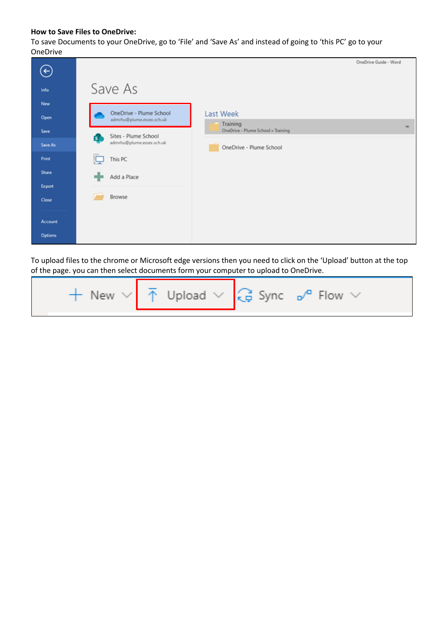### **How to Save Files to OneDrive:**

To save Documents to your OneDrive, go to 'File' and 'Save As' and instead of going to 'this PC' go to your OneDrive

|                |                                                          |                                                | OneDrive Guide - Word |
|----------------|----------------------------------------------------------|------------------------------------------------|-----------------------|
| $\leftarrow$   |                                                          |                                                |                       |
| Info           | Save As                                                  |                                                |                       |
| New            |                                                          |                                                |                       |
| Open           | OneDrive - Plume School<br>admrhu@plume.essex.sch.uk     | Last Week                                      |                       |
| Save           |                                                          | Training<br>OneDrive - Plume School » Training | $-14$                 |
| Save As        | Sites - Plume School<br>ST.<br>admrhu@plume.essex.sch.uk | OneDrive - Plume School                        |                       |
| Print          | This PC                                                  |                                                |                       |
| Share          | Add a Place                                              |                                                |                       |
| Export         |                                                          |                                                |                       |
| Close          | Browse                                                   |                                                |                       |
|                |                                                          |                                                |                       |
| Account        |                                                          |                                                |                       |
| <b>Options</b> |                                                          |                                                |                       |

To upload files to the chrome or Microsoft edge versions then you need to click on the 'Upload' button at the top of the page. you can then select documents form your computer to upload to OneDrive.